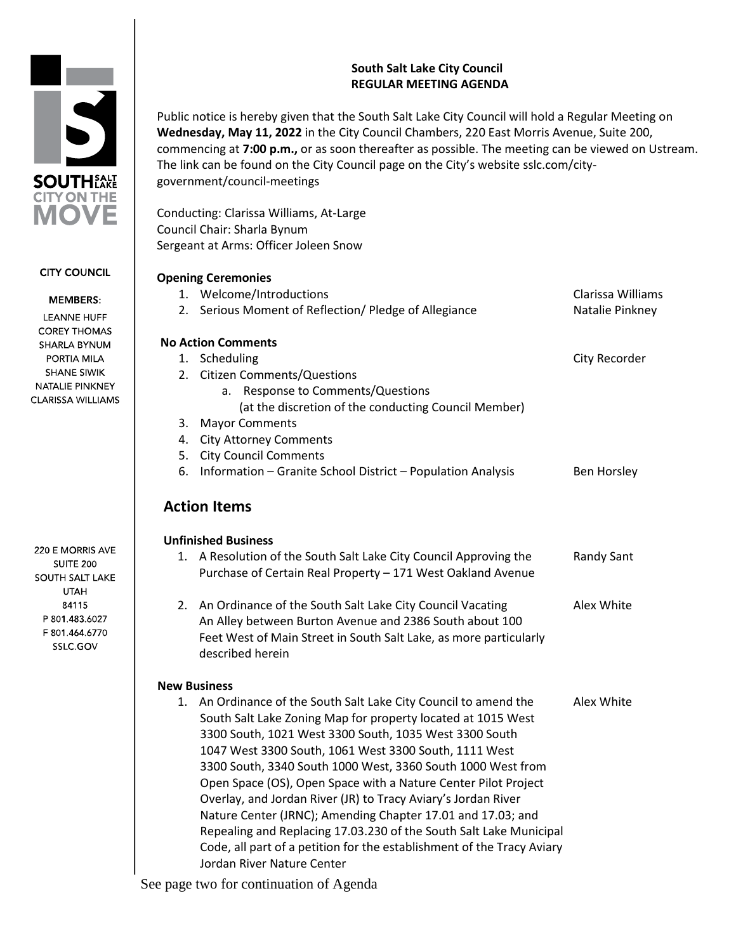## **South Salt Lake City Council REGULAR MEETING AGENDA**

Public notice is hereby given that the South Salt Lake City Council will hold a Regular Meeting on **Wednesday, May 11, 2022** in the City Council Chambers, 220 East Morris Avenue, Suite 200, commencing at **7:00 p.m.,** or as soon thereafter as possible. The meeting can be viewed on Ustream. The link can be found on the City Council page on the City's website sslc.com/citygovernment/council-meetings

Conducting: Clarissa Williams, At-Large Council Chair: Sharla Bynum Sergeant at Arms: Officer Joleen Snow

# **Opening Ceremonies** 1. Welcome/Introductions Clarissa Williams 2. Serious Moment of Reflection/ Pledge of Allegiance Natalie Pinkney **No Action Comments** 1. Scheduling City Recorder 2. Citizen Comments/Questions a. Response to Comments/Questions (at the discretion of the conducting Council Member) 3. Mayor Comments 4. City Attorney Comments 5. City Council Comments 6. Information – Granite School District – Population Analysis Ben Horsley **Action Items Unfinished Business** 1. A Resolution of the South Salt Lake City Council Approving the Randy Sant Purchase of Certain Real Property – 171 West Oakland Avenue 2. An Ordinance of the South Salt Lake City Council Vacating Alex White An Alley between Burton Avenue and 2386 South about 100 Feet West of Main Street in South Salt Lake, as more particularly described herein **New Business**  1. An Ordinance of the South Salt Lake City Council to amend the Alex White South Salt Lake Zoning Map for property located at 1015 West 3300 South, 1021 West 3300 South, 1035 West 3300 South 1047 West 3300 South, 1061 West 3300 South, 1111 West 3300 South, 3340 South 1000 West, 3360 South 1000 West from Open Space (OS), Open Space with a Nature Center Pilot Project Overlay, and Jordan River (JR) to Tracy Aviary's Jordan River Nature Center (JRNC); Amending Chapter 17.01 and 17.03; and Repealing and Replacing 17.03.230 of the South Salt Lake Municipal Code, all part of a petition for the establishment of the Tracy Aviary

See page two for continuation of Agenda

Jordan River Nature Center

**MEMBERS: LEANNE HUFF** 

**CITY COUNCIL** 

**COREY THOMAS** SHARLA BYNUM PORTIA MILA **SHANE SIWIK** NATALIE PINKNEY **CLARISSA WILLIAMS** 

220 E MORRIS AVE **SUITE 200 SOUTH SALT LAKE UTAH** 84115 P 801.483.6027 F 801.464.6770 SSLC.GOV